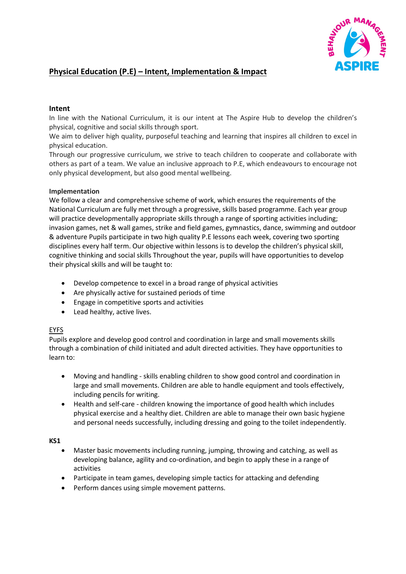

# **Physical Education (P.E) – Intent, Implementation & Impact**

### **Intent**

In line with the National Curriculum, it is our intent at The Aspire Hub to develop the children's physical, cognitive and social skills through sport.

We aim to deliver high quality, purposeful teaching and learning that inspires all children to excel in physical education.

Through our progressive curriculum, we strive to teach children to cooperate and collaborate with others as part of a team. We value an inclusive approach to P.E, which endeavours to encourage not only physical development, but also good mental wellbeing.

### **Implementation**

We follow a clear and comprehensive scheme of work, which ensures the requirements of the National Curriculum are fully met through a progressive, skills based programme. Each year group will practice developmentally appropriate skills through a range of sporting activities including; invasion games, net & wall games, strike and field games, gymnastics, dance, swimming and outdoor & adventure Pupils participate in two high quality P.E lessons each week, covering two sporting disciplines every half term. Our objective within lessons is to develop the children's physical skill, cognitive thinking and social skills Throughout the year, pupils will have opportunities to develop their physical skills and will be taught to:

- Develop competence to excel in a broad range of physical activities
- Are physically active for sustained periods of time
- Engage in competitive sports and activities
- Lead healthy, active lives.

## EYFS

Pupils explore and develop good control and coordination in large and small movements skills through a combination of child initiated and adult directed activities. They have opportunities to learn to:

- Moving and handling skills enabling children to show good control and coordination in large and small movements. Children are able to handle equipment and tools effectively, including pencils for writing.
- Health and self-care children knowing the importance of good health which includes physical exercise and a healthy diet. Children are able to manage their own basic hygiene and personal needs successfully, including dressing and going to the toilet independently.

### **KS1**

- Master basic movements including running, jumping, throwing and catching, as well as developing balance, agility and co-ordination, and begin to apply these in a range of activities
- Participate in team games, developing simple tactics for attacking and defending
- Perform dances using simple movement patterns.